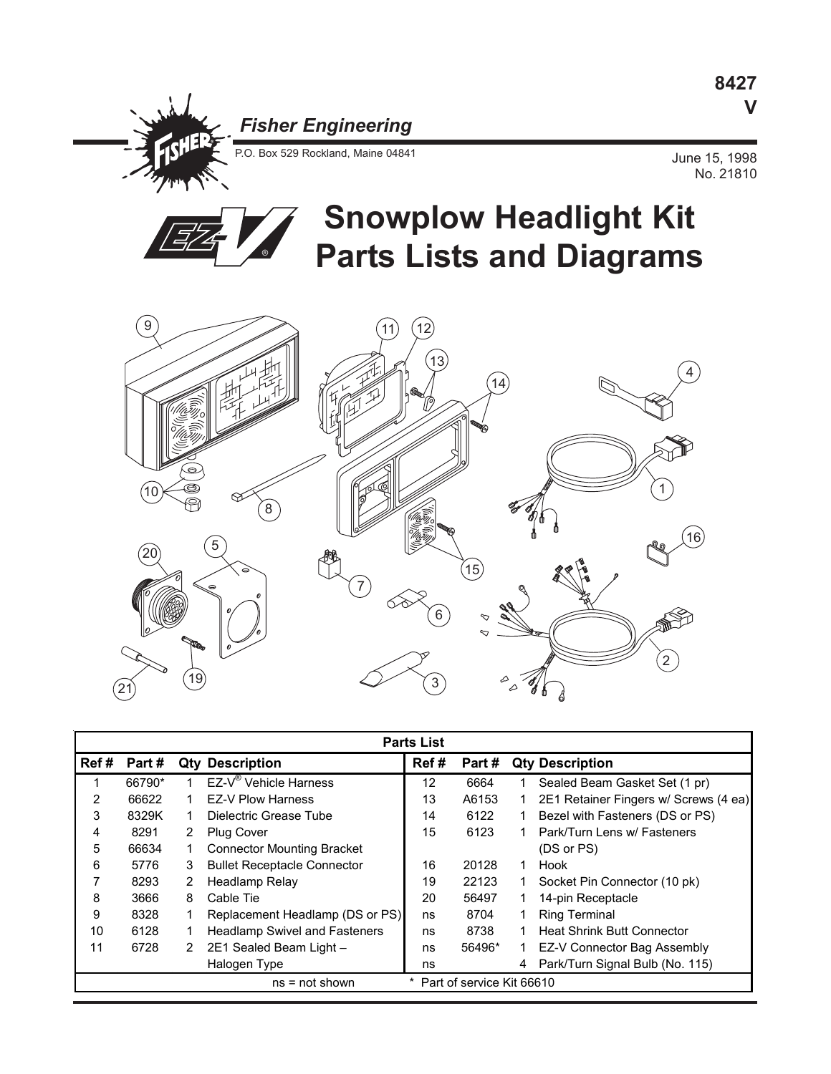## *Fisher Engineering*

P.O. Box 529 Rockland, Maine 04841 June 15, 1998

No. 21810



## **Snowplow Headlight Kit Parts Lists and Diagrams**



| <b>Parts List</b>                             |        |    |                                      |      |        |    |                                       |
|-----------------------------------------------|--------|----|--------------------------------------|------|--------|----|---------------------------------------|
| Ref#                                          | Part # |    | <b>Qty Description</b>               | Ref# | Part # |    | <b>Qty Description</b>                |
|                                               | 66790* |    | EZ-V <sup>®</sup> Vehicle Harness    | 12   | 6664   |    | Sealed Beam Gasket Set (1 pr)         |
| 2                                             | 66622  | 1  | <b>EZ-V Plow Harness</b>             | 13   | A6153  |    | 2E1 Retainer Fingers w/ Screws (4 ea) |
| 3                                             | 8329K  | 1  | Dielectric Grease Tube               | 14   | 6122   |    | Bezel with Fasteners (DS or PS)       |
| 4                                             | 8291   | 2  | <b>Plug Cover</b>                    | 15   | 6123   |    | Park/Turn Lens w/ Fasteners           |
| 5                                             | 66634  | 1. | <b>Connector Mounting Bracket</b>    |      |        |    | (DS or PS)                            |
| 6                                             | 5776   | 3  | <b>Bullet Receptacle Connector</b>   | 16   | 20128  | 1. | Hook                                  |
|                                               | 8293   | 2  | Headlamp Relay                       | 19   | 22123  |    | Socket Pin Connector (10 pk)          |
| 8                                             | 3666   | 8  | Cable Tie                            | 20   | 56497  |    | 14-pin Receptacle                     |
| 9                                             | 8328   |    | Replacement Headlamp (DS or PS)      | ns   | 8704   |    | <b>Ring Terminal</b>                  |
| 10                                            | 6128   |    | <b>Headlamp Swivel and Fasteners</b> | ns   | 8738   |    | <b>Heat Shrink Butt Connector</b>     |
| 11                                            | 6728   | 2  | 2E1 Sealed Beam Light -              | ns   | 56496* |    | EZ-V Connector Bag Assembly           |
|                                               |        |    | Halogen Type                         | ns   |        | 4  | Park/Turn Signal Bulb (No. 115)       |
| Part of service Kit 66610<br>$ns = not shown$ |        |    |                                      |      |        |    |                                       |